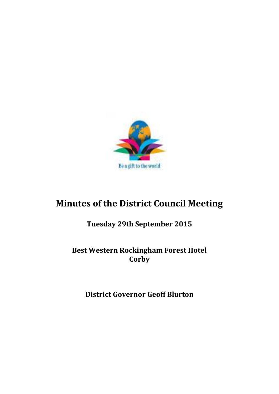

# **Minutes of the District Council Meeting**

# **Tuesday 29th September 2015**

# **Best Western Rockingham Forest Hotel Corby**

**District Governor Geoff Blurton**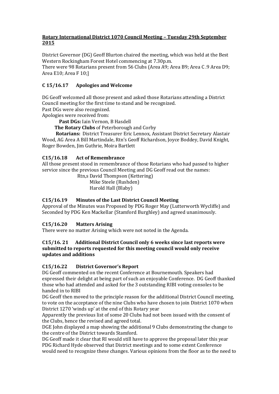#### **Rotary International District 1070 Council Meeting – Tuesday 29th September 2015**

District Governor (DG) Geoff Blurton chaired the meeting, which was held at the Best Western Rockingham Forest Hotel commencing at 7.30p.m.

There were 98 Rotarians present from 56 Clubs (Area A9; Area B9; Area C .9 Area D9; Area E10; Area F 10;]

# **C 15/16.17 Apologies and Welcome**

DG Geoff welcomed all those present and asked those Rotarians attending a District Council meeting for the first time to stand and be recognized.

Past DGs were also recognized.

Apologies were received from:

**Past DGs:** Iain Vernon, B Hasdell

**The Rotary Clubs** of Peterborough and Corby

 **Rotarians:** District Treasurer Eric Lennox, Assistant District Secretary Alastair Wood, AG Area A Bill Martindale, Rtn's Geoff Richardson, Joyce Boddey, David Knight, Roger Bowden, Jim Guthrie, Moira Bartlett

# **C15/16.18 Act of Remembrance**

All those present stood in remembrance of those Rotarians who had passed to higher service since the previous Council Meeting and DG Geoff read out the names:

 Rtn,s David Thompson (Kettering) Mike Steele (Rushden) Harold Hall (Blaby)

# **C15/16.19 Minutes of the Last District Council Meeting**

Approval of the Minutes was Proposed by PDG Roger May (Lutterworth Wycliffe) and Seconded by PDG Ken Mackellar (Stamford Burghley) and agreed unanimously.

# **C15/16.20 Matters Arising**

There were no matter Arising which were not noted in the Agenda.

#### **C15/16. 21 Additional District Council only 6 weeks since last reports were submitted to reports requested for this meeting council would only receive updates and additions**

#### **C15/16.22 District Governor's Report**

DG Geoff commented on the recent Conference at Bournemouth. Speakers had expressed their delight at being part of such an enjoyable Conference. DG Geoff thanked those who had attended and asked for the 3 outstanding RIBI voting consoles to be handed in to RIBI

DG Geoff then moved to the principle reason for the additional District Council meeting, to vote on the acceptance of the nine Clubs who have chosen to join District 1070 when District 1270 'winds up' at the end of this Rotary year

Apparently the previous list of some 20 Clubs had not been issued with the consent of the Clubs, hence the revised and agreed total.

DGE John displayed a map showing the additional 9 Clubs demonstrating the change to the centre of the District towards Stamford.

DG Geoff made it clear that RI would still have to approve the proposal later this year PDG Richard Hyde observed that District meetings and to some extent Conference would need to recognize these changes. Various opinions from the floor as to the need to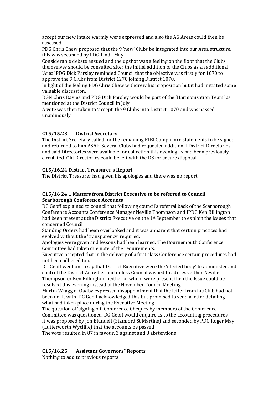accept our new intake warmly were expressed and also the AG Areas could then be assessed.

PDG Chris Chew proposed that the 9 'new' Clubs be integrated into our Area structure, this was seconded by PDG Linda May.

Considerable debate ensued and the upshot was a feeling on the floor that the Clubs themselves should be consulted after the initial addition of the Clubs as an additional 'Area' PDG Dick Parsley reminded Council that the objective was firstly for 1070 to approve the 9 Clubs from District 1270 joining District 1070.

In light of the feeling PDG Chris Chew withdrew his proposition but it had initiated some valuable discussion.

DGN Chris Davies and PDG Dick Parsley would be part of the 'Harmonisation Team' as mentioned at the District Council in July

A vote was then taken to 'accept' the 9 Clubs into District 1070 and was passed unanimously.

# **C15/15.23 District Secretary**

The District Secretary called for the remaining RIBI Compliance statements to be signed and returned to him ASAP. Several Clubs had requested additional District Directories and said Directories were available for collection this evening as had been previously circulated. Old Directories could be left with the DS for secure disposal

#### **C15/16.24 District Treasurer's Report**

The District Treasurer had given his apologies and there was no report

#### **C15/16 24.1 Matters from District Executive to be referred to Council Scarborough Conference Accounts**

DG Geoff explained to council that following council's referral back of the Scarborough Conference Accounts Conference Manager Neville Thompson and IPDG Ken Billington had been present at the District Executive on the 1st September to explain the issues that concerned Council

Standing Orders had been overlooked and it was apparent that certain practices had evolved without the 'transparency' required.

Apologies were given and lessons had been learned. The Bournemouth Conference Committee had taken due note of the requirements.

Executive accepted that in the delivery of a first class Conference certain procedures had not been adhered too.

DG Geoff went on to say that District Executive were the 'elected body' to administer and control the District Activities and unless Council wished to address either Neville Thompson or Ken Billington, neither of whom were present then the Issue could be resolved this evening instead of the November Council Meeting.

Martin Wragg of Oadby expressed disappointment that the letter from his Club had not been dealt with. DG Geoff acknowledged this but promised to send a letter detailing what had taken place during the Executive Meeting.

The question of 'signing off' Conference Cheques by members of the Conference Committee was questioned, DG Geoff would enquire as to the accounting procedures It was proposed by Jon Blundell (Stamford St Martins) and seconded by PDG Roger May (Lutterworth Wycliffe) that the accounts be passed

The vote resulted in 87 in favour, 3 against and 8 abstentions

#### **C15/16.25 Assistant Governors" Reports**

Nothing to add to previous reports